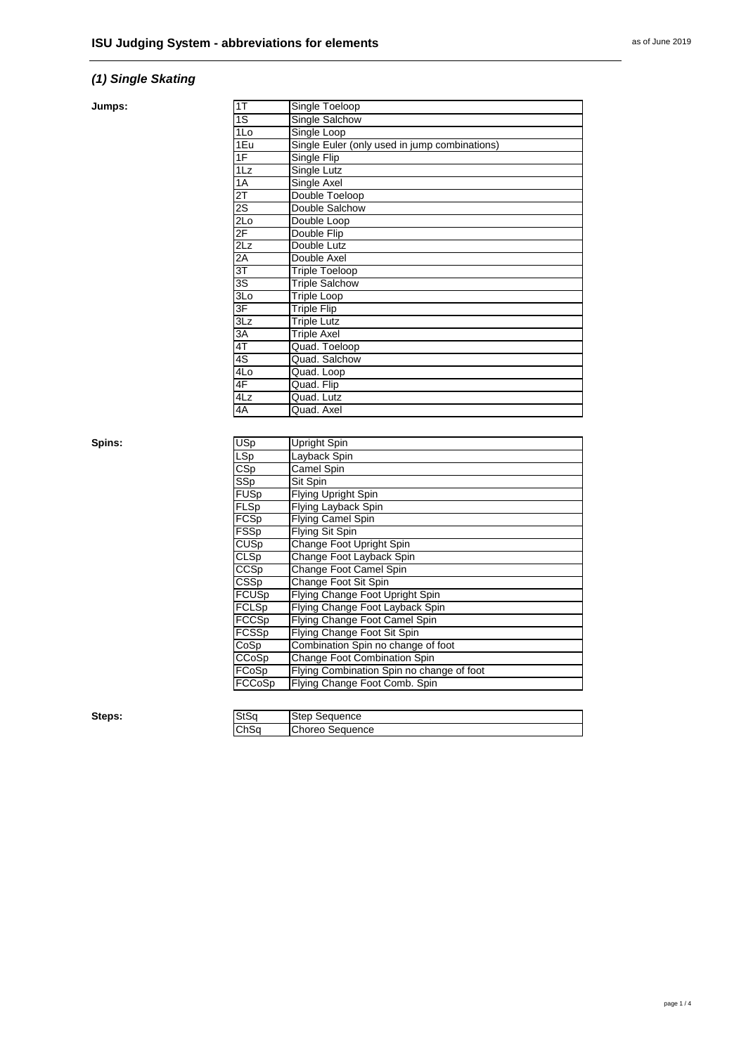# *(1) Single Skating*

#### **Jumps:**

| 1T               | Single Toeloop                                |
|------------------|-----------------------------------------------|
| 1S               | Single Salchow                                |
| 1 <sub>0</sub>   | Single Loop                                   |
| 1Eu              | Single Euler (only used in jump combinations) |
| 1F               | Single Flip                                   |
| $1\overline{L}z$ | Single Lutz                                   |
| 1A               | Single Axel                                   |
| $2\overline{1}$  | Double Toeloop                                |
| $\overline{2S}$  | Double Salchow                                |
| $2$ Lo           | Double Loop                                   |
| 2F               | Double Flip                                   |
| 2Lz              | Double Lutz                                   |
| 2A               | Double Axel                                   |
| $\overline{3T}$  | <b>Triple Toeloop</b>                         |
| $\overline{3S}$  | <b>Triple Salchow</b>                         |
| 3Lo              | <b>Triple Loop</b>                            |
| 3F               | <b>Triple Flip</b>                            |
| 3Lz              | <b>Triple Lutz</b>                            |
| 3A               | <b>Triple Axel</b>                            |
| 4T               | Quad. Toeloop                                 |
| 4S               | Quad. Salchow                                 |
| 4L <sub>o</sub>  | Quad. Loop                                    |
| 4F               | Quad. Flip                                    |
| 4Lz              | Quad. Lutz                                    |
| 4A               | Quad. Axel                                    |

Spins:

| $\overline{USp}$        | Upright Spin                              |
|-------------------------|-------------------------------------------|
| LSp                     | Layback Spin                              |
| $\overline{\text{CSp}}$ | Camel Spin                                |
| SSp                     | Sit Spin                                  |
| <b>FUSp</b>             | <b>Flying Upright Spin</b>                |
| FLSp                    | Flying Layback Spin                       |
| FCSp                    | Flying Camel Spin                         |
| <b>FSSp</b>             | <b>Flying Sit Spin</b>                    |
| CUSp                    | Change Foot Upright Spin                  |
| <b>CLSp</b>             | Change Foot Layback Spin                  |
| CCSp                    | Change Foot Camel Spin                    |
| <b>CSSp</b>             | Change Foot Sit Spin                      |
| <b>FCUSp</b>            | Flying Change Foot Upright Spin           |
| <b>FCLSp</b>            | Flying Change Foot Layback Spin           |
| <b>FCCSp</b>            | Flying Change Foot Camel Spin             |
| FCSSp                   | Flying Change Foot Sit Spin               |
| CoSp                    | Combination Spin no change of foot        |
| CCoSp                   | Change Foot Combination Spin              |
| FCoSp                   | Flying Combination Spin no change of foot |
| FCCoSp                  | Flying Change Foot Comb. Spin             |
|                         |                                           |

**Steps:** 

| n. n<br>วเวน | auence                  |
|--------------|-------------------------|
| ⌒⊾⌒<br>יטווט | uence<br>πр.<br>.<br>~~ |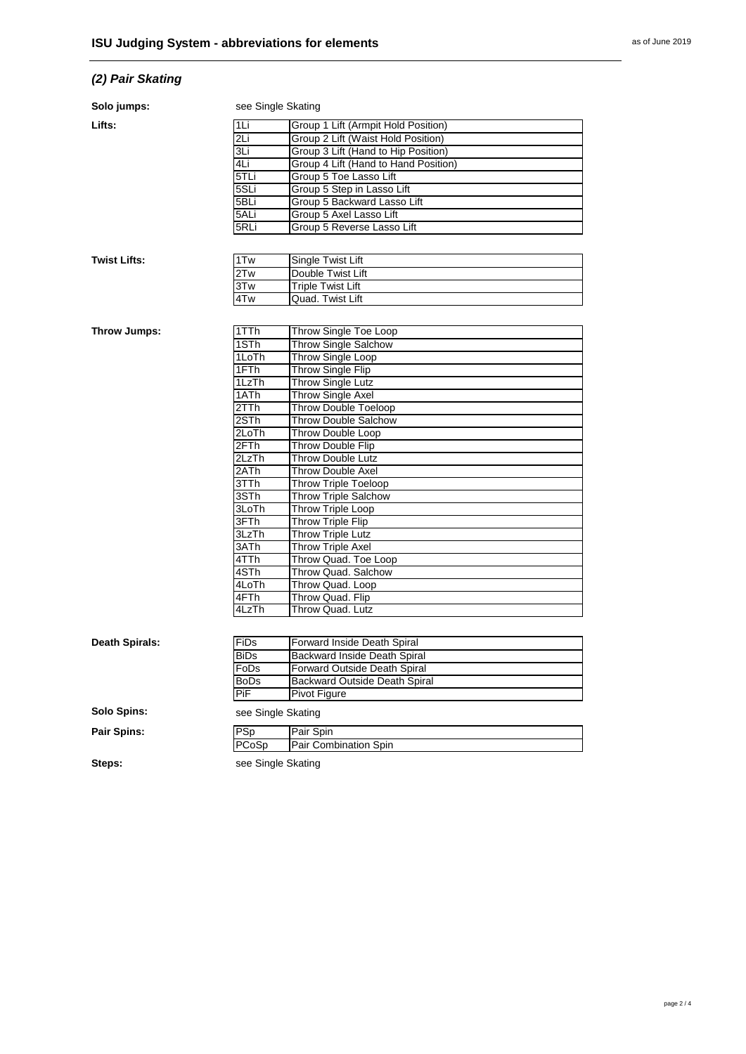# *(2) Pair Skating*

| Solo jumps:           | see Single Skating |                                      |
|-----------------------|--------------------|--------------------------------------|
| Lifts:                | 1Li                | Group 1 Lift (Armpit Hold Position)  |
|                       | 2Li                | Group 2 Lift (Waist Hold Position)   |
|                       | 3Li                | Group 3 Lift (Hand to Hip Position)  |
|                       | 4Li                | Group 4 Lift (Hand to Hand Position) |
|                       | $5$ TLi            | Group 5 Toe Lasso Lift               |
|                       | 5SLi               | Group 5 Step in Lasso Lift           |
|                       | 5BLi               | Group 5 Backward Lasso Lift          |
|                       | 5ALi               | Group 5 Axel Lasso Lift              |
|                       | 5RLi               | Group 5 Reverse Lasso Lift           |
|                       |                    |                                      |
| <b>Twist Lifts:</b>   | 1Tw                | Single Twist Lift                    |
|                       | 2Tw                | Double Twist Lift                    |
|                       | 3Tw                | <b>Triple Twist Lift</b>             |
|                       | 4Tw                | Quad. Twist Lift                     |
|                       |                    |                                      |
| Throw Jumps:          | 1TTh               | Throw Single Toe Loop                |
|                       | 1STh               | <b>Throw Single Salchow</b>          |
|                       | 1LoTh              | Throw Single Loop                    |
|                       | 1FTh               | <b>Throw Single Flip</b>             |
|                       | 1LzTh              | Throw Single Lutz                    |
|                       | 1ATh               | Throw Single Axel                    |
|                       | 2TTh               | <b>Throw Double Toeloop</b>          |
|                       | 2STh               | Throw Double Salchow                 |
|                       | 2LoTh              | Throw Double Loop                    |
|                       | 2FTh               | Throw Double Flip                    |
|                       | 2LzTh              | <b>Throw Double Lutz</b>             |
|                       | 2ATh               | <b>Throw Double Axel</b>             |
|                       | 3TTh               | <b>Throw Triple Toeloop</b>          |
|                       | 3STh               | Throw Triple Salchow                 |
|                       | 3LoTh              | <b>Throw Triple Loop</b>             |
|                       | 3FTh               | Throw Triple Flip                    |
|                       | 3LzTh              | Throw Triple Lutz                    |
|                       | 3ATh               | <b>Throw Triple Axel</b>             |
|                       | 4TTh               | Throw Quad. Toe Loop                 |
|                       | 4STh               | Throw Quad. Salchow                  |
|                       | 4LoTh              | Throw Quad. Loop                     |
|                       | 4FTh               | Throw Quad. Flip                     |
|                       | 4LzTh              | Throw Quad. Lutz                     |
|                       |                    |                                      |
| <b>Death Spirals:</b> | FiDs               | Forward Inside Death Spiral          |
|                       | <b>BiDs</b>        | Backward Inside Death Spiral         |
|                       | FoDs               | Forward Outside Death Spiral         |
|                       | <b>BoDs</b>        | <b>Backward Outside Death Spiral</b> |
|                       | PiF                | Pivot Figure                         |
| Solo Spins:           | see Single Skating |                                      |
| Pair Spins:           | PSp                | Pair Spin                            |
|                       | PCoSp              | Pair Combination Spin                |
|                       |                    |                                      |

Steps: Steps: Steps: Steps: Steps: Steps: Steps: Steps: Steps: Steps: Steps: Steps: Steps: Steps: Steps: Steps: Steps: Steps: Steps: Steps: Steps: Steps: Steps: Steps: Steps: Steps: Steps: Steps: Steps: Steps: Steps: Steps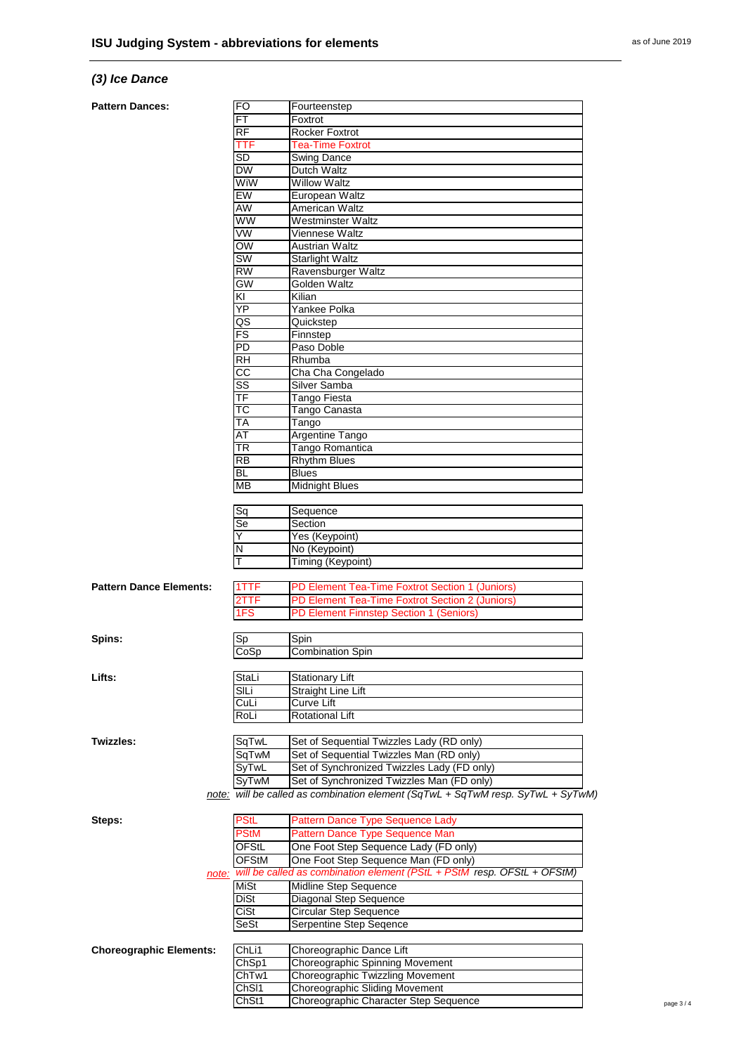### *(3) Ice Dance*

#### **Pattern Da**

|                                | FO                     | Fourteenstep                                                                    |
|--------------------------------|------------------------|---------------------------------------------------------------------------------|
|                                | <b>FT</b>              | Foxtrot                                                                         |
|                                | RF                     | Rocker Foxtrot                                                                  |
|                                | TTF                    | <b>Tea-Time Foxtrot</b>                                                         |
|                                | SD                     | Swing Dance                                                                     |
|                                | <b>DW</b>              | Dutch Waltz                                                                     |
|                                | WiW                    | Willow Waltz                                                                    |
|                                | EW                     | European Waltz                                                                  |
|                                | AW                     | American Waltz                                                                  |
|                                | WW                     | Westminster Waltz                                                               |
|                                | $\overline{\text{vw}}$ | Viennese Waltz                                                                  |
|                                | OW                     | <b>Austrian Waltz</b>                                                           |
|                                | SW                     | <b>Starlight Waltz</b>                                                          |
|                                | <b>RW</b>              | Ravensburger Waltz                                                              |
|                                | GW                     | Golden Waltz                                                                    |
|                                | ΚI                     | Kilian                                                                          |
|                                | ΥP                     | Yankee Polka                                                                    |
|                                | QS                     | Quickstep                                                                       |
|                                | $\overline{FS}$        | Finnstep                                                                        |
|                                | PD                     | Paso Doble                                                                      |
|                                | RH                     |                                                                                 |
|                                |                        | Rhumba                                                                          |
|                                | CC                     | Cha Cha Congelado                                                               |
|                                | SS                     | Silver Samba                                                                    |
|                                | TF                     | Tango Fiesta                                                                    |
|                                | ТC                     | Tango Canasta                                                                   |
|                                | ТA                     | Tango                                                                           |
|                                | AT                     | <b>Argentine Tango</b>                                                          |
|                                | <b>TR</b>              | Tango Romantica                                                                 |
|                                | <b>RB</b>              | <b>Rhythm Blues</b>                                                             |
|                                | <b>BL</b>              | <b>Blues</b>                                                                    |
|                                | MВ                     | <b>Midnight Blues</b>                                                           |
|                                |                        |                                                                                 |
|                                | Sq                     | Sequence                                                                        |
|                                | Se                     | Section                                                                         |
|                                | Y                      | Yes (Keypoint)                                                                  |
|                                | N                      | No (Keypoint)                                                                   |
|                                |                        | Timing (Keypoint)                                                               |
|                                |                        |                                                                                 |
| <b>Pattern Dance Elements:</b> | 1TTF                   | PD Element Tea-Time Foxtrot Section 1 (Juniors)                                 |
|                                | 2TTF                   | PD Element Tea-Time Foxtrot Section 2 (Juniors)                                 |
|                                | 1FS                    | PD Element Finnstep Section 1 (Seniors)                                         |
|                                |                        |                                                                                 |
| Spins:                         | Sp                     | Spin                                                                            |
|                                |                        |                                                                                 |
|                                |                        |                                                                                 |
|                                | CoSp                   | <b>Combination Spin</b>                                                         |
|                                |                        |                                                                                 |
|                                | StaLi                  | <b>Stationary Lift</b>                                                          |
|                                | SILi                   | <b>Straight Line Lift</b>                                                       |
|                                | CuLi                   | Curve Lift                                                                      |
|                                | RoLi                   | <b>Rotational Lift</b>                                                          |
|                                |                        |                                                                                 |
|                                | SqTwL                  | Set of Sequential Twizzles Lady (RD only)                                       |
|                                | SqTwM                  | Set of Sequential Twizzles Man (RD only)                                        |
| Lifts:<br>Twizzles:            | SyTwL                  | Set of Synchronized Twizzles Lady (FD only)                                     |
|                                | SyTwM                  | Set of Synchronized Twizzles Man (FD only)                                      |
|                                |                        |                                                                                 |
|                                |                        |                                                                                 |
|                                |                        | note: will be called as combination element (SqTwL + SqTwM resp. SyTwL + SyTwM) |
|                                | <b>PStL</b>            | Pattern Dance Type Sequence Lady                                                |
|                                | <b>PStM</b>            | Pattern Dance Type Sequence Man                                                 |
|                                | OFStL                  | One Foot Step Sequence Lady (FD only)                                           |
|                                | <b>OFStM</b>           | One Foot Step Sequence Man (FD only)                                            |
|                                |                        | note: will be called as combination element (PStL + PStM resp. OFStL + OFStM)   |
|                                | MiSt                   | Midline Step Sequence                                                           |
| Steps:                         | DiSt                   | Diagonal Step Sequence                                                          |
|                                | CiSt                   | Circular Step Sequence                                                          |
|                                | <b>SeSt</b>            | Serpentine Step Seqence                                                         |
|                                |                        |                                                                                 |
|                                | ChL <sub>i1</sub>      | Choreographic Dance Lift                                                        |
|                                |                        |                                                                                 |
| <b>Choreographic Elements:</b> | ChSp1<br>ChTw1         | Choreographic Spinning Movement<br>Choreographic Twizzling Movement             |